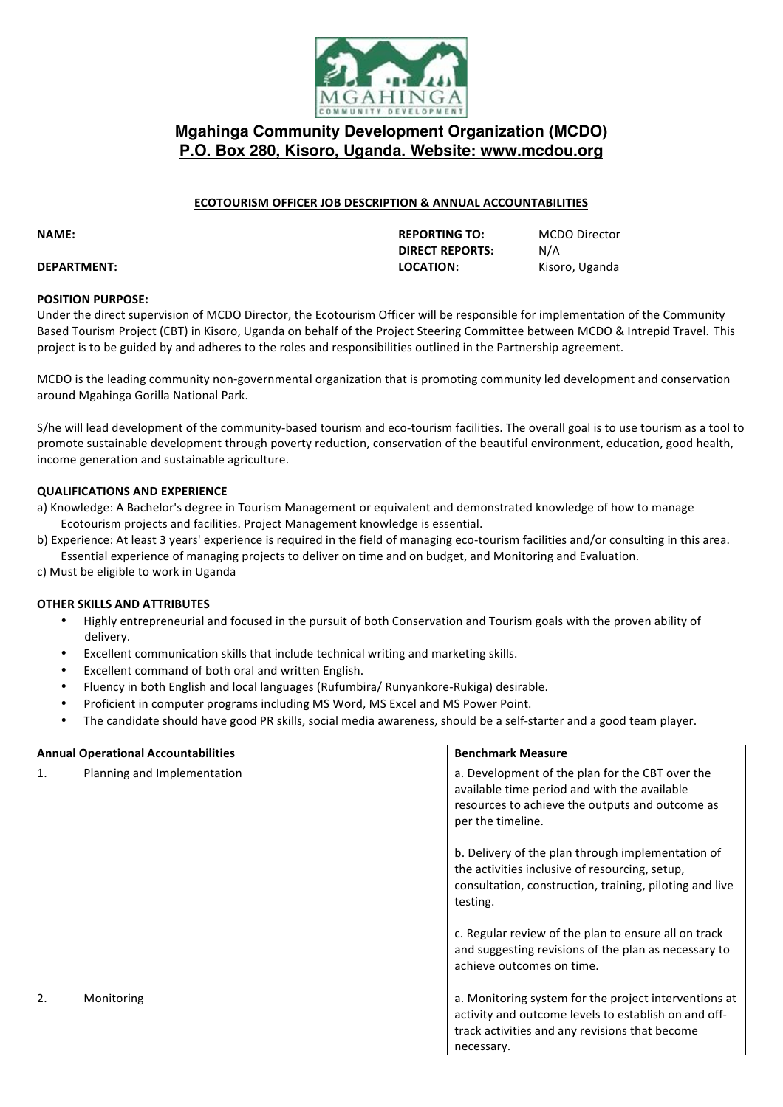

## **Mgahinga Community Development Organization (MCDO) P.O. Box 280, Kisoro, Uganda. Website: www.mcdou.org**

## **ECOTOURISM OFFICER JOB DESCRIPTION & ANNUAL ACCOUNTABILITIES**

# **DIRECT REPORTS:** N/A **DEPARTMENT: CONSERVATION: LOCATION:** Kisoro, Uganda

**NAME: REPORTING TO: MCDO** Director

### **POSITION PURPOSE:**

Under the direct supervision of MCDO Director, the Ecotourism Officer will be responsible for implementation of the Community Based Tourism Project (CBT) in Kisoro, Uganda on behalf of the Project Steering Committee between MCDO & Intrepid Travel. This project is to be guided by and adheres to the roles and responsibilities outlined in the Partnership agreement.

MCDO is the leading community non-governmental organization that is promoting community led development and conservation around Mgahinga Gorilla National Park.

S/he will lead development of the community-based tourism and eco-tourism facilities. The overall goal is to use tourism as a tool to promote sustainable development through poverty reduction, conservation of the beautiful environment, education, good health, income generation and sustainable agriculture.

## **QUALIFICATIONS AND EXPERIENCE**

- a) Knowledge: A Bachelor's degree in Tourism Management or equivalent and demonstrated knowledge of how to manage Ecotourism projects and facilities. Project Management knowledge is essential.
- b) Experience: At least 3 years' experience is required in the field of managing eco-tourism facilities and/or consulting in this area. Essential experience of managing projects to deliver on time and on budget, and Monitoring and Evaluation.
- c) Must be eligible to work in Uganda

## **OTHER SKILLS AND ATTRIBUTES**

- Highly entrepreneurial and focused in the pursuit of both Conservation and Tourism goals with the proven ability of delivery.
- Excellent communication skills that include technical writing and marketing skills.
- Excellent command of both oral and written English.
- Fluency in both English and local languages (Rufumbira/ Runyankore-Rukiga) desirable.
- Proficient in computer programs including MS Word, MS Excel and MS Power Point.
- The candidate should have good PR skills, social media awareness, should be a self-starter and a good team player.

| <b>Annual Operational Accountabilities</b> |                             | <b>Benchmark Measure</b>                                                                                                                                                      |
|--------------------------------------------|-----------------------------|-------------------------------------------------------------------------------------------------------------------------------------------------------------------------------|
| 1.                                         | Planning and Implementation | a. Development of the plan for the CBT over the<br>available time period and with the available<br>resources to achieve the outputs and outcome as<br>per the timeline.       |
|                                            |                             | b. Delivery of the plan through implementation of<br>the activities inclusive of resourcing, setup,<br>consultation, construction, training, piloting and live<br>testing.    |
|                                            |                             | c. Regular review of the plan to ensure all on track<br>and suggesting revisions of the plan as necessary to<br>achieve outcomes on time.                                     |
| 2.                                         | Monitoring                  | a. Monitoring system for the project interventions at<br>activity and outcome levels to establish on and off-<br>track activities and any revisions that become<br>necessary. |